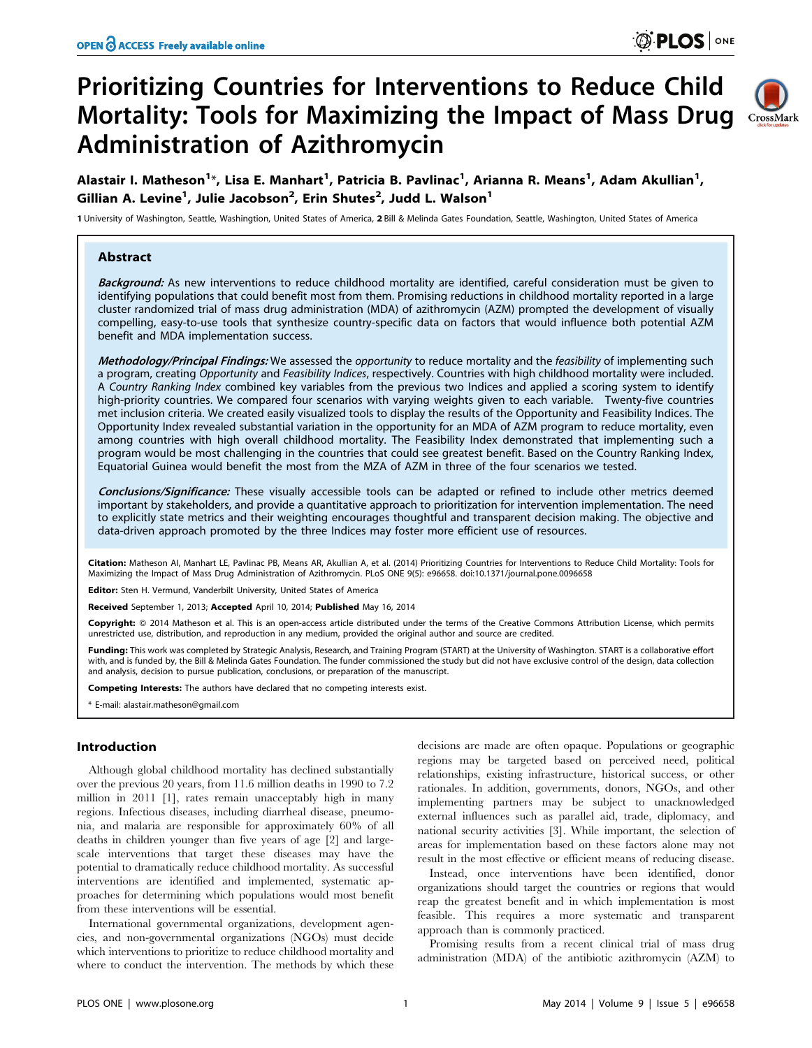# Prioritizing Countries for Interventions to Reduce Child Mortality: Tools for Maximizing the Impact of Mass Drug CrossMark Administration of Azithromycin



Alastair I. Matheson<sup>1</sup>\*, Lisa E. Manhart<sup>1</sup>, Patricia B. Pavlinac<sup>1</sup>, Arianna R. Means<sup>1</sup>, Adam Akullian<sup>1</sup>, Gillian A. Levine<sup>1</sup>, Julie Jacobson<sup>2</sup>, Erin Shutes<sup>2</sup>, Judd L. Walson<sup>1</sup>

1 University of Washington, Seattle, Washingtion, United States of America, 2 Bill & Melinda Gates Foundation, Seattle, Washington, United States of America

# Abstract

Background: As new interventions to reduce childhood mortality are identified, careful consideration must be given to identifying populations that could benefit most from them. Promising reductions in childhood mortality reported in a large cluster randomized trial of mass drug administration (MDA) of azithromycin (AZM) prompted the development of visually compelling, easy-to-use tools that synthesize country-specific data on factors that would influence both potential AZM benefit and MDA implementation success.

Methodology/Principal Findings: We assessed the opportunity to reduce mortality and the feasibility of implementing such a program, creating Opportunity and Feasibility Indices, respectively. Countries with high childhood mortality were included. A Country Ranking Index combined key variables from the previous two Indices and applied a scoring system to identify high-priority countries. We compared four scenarios with varying weights given to each variable. Twenty-five countries met inclusion criteria. We created easily visualized tools to display the results of the Opportunity and Feasibility Indices. The Opportunity Index revealed substantial variation in the opportunity for an MDA of AZM program to reduce mortality, even among countries with high overall childhood mortality. The Feasibility Index demonstrated that implementing such a program would be most challenging in the countries that could see greatest benefit. Based on the Country Ranking Index, Equatorial Guinea would benefit the most from the MZA of AZM in three of the four scenarios we tested.

Conclusions/Significance: These visually accessible tools can be adapted or refined to include other metrics deemed important by stakeholders, and provide a quantitative approach to prioritization for intervention implementation. The need to explicitly state metrics and their weighting encourages thoughtful and transparent decision making. The objective and data-driven approach promoted by the three Indices may foster more efficient use of resources.

Citation: Matheson AI, Manhart LE, Pavlinac PB, Means AR, Akullian A, et al. (2014) Prioritizing Countries for Interventions to Reduce Child Mortality: Tools for Maximizing the Impact of Mass Drug Administration of Azithromycin. PLoS ONE 9(5): e96658. doi:10.1371/journal.pone.0096658

Editor: Sten H. Vermund, Vanderbilt University, United States of America

Received September 1, 2013; Accepted April 10, 2014; Published May 16, 2014

Copyright: © 2014 Matheson et al. This is an open-access article distributed under the terms of the [Creative Commons Attribution License](http://creativecommons.org/licenses/by/4.0/), which permits unrestricted use, distribution, and reproduction in any medium, provided the original author and source are credited.

Funding: This work was completed by Strategic Analysis, Research, and Training Program (START) at the University of Washington. START is a collaborative effort with, and is funded by, the Bill & Melinda Gates Foundation. The funder commissioned the study but did not have exclusive control of the design, data collection and analysis, decision to pursue publication, conclusions, or preparation of the manuscript.

Competing Interests: The authors have declared that no competing interests exist.

\* E-mail: alastair.matheson@gmail.com

# Introduction

Although global childhood mortality has declined substantially over the previous 20 years, from 11.6 million deaths in 1990 to 7.2 million in 2011 [1], rates remain unacceptably high in many regions. Infectious diseases, including diarrheal disease, pneumonia, and malaria are responsible for approximately 60% of all deaths in children younger than five years of age [2] and largescale interventions that target these diseases may have the potential to dramatically reduce childhood mortality. As successful interventions are identified and implemented, systematic approaches for determining which populations would most benefit from these interventions will be essential.

International governmental organizations, development agencies, and non-governmental organizations (NGOs) must decide which interventions to prioritize to reduce childhood mortality and where to conduct the intervention. The methods by which these

decisions are made are often opaque. Populations or geographic regions may be targeted based on perceived need, political relationships, existing infrastructure, historical success, or other rationales. In addition, governments, donors, NGOs, and other implementing partners may be subject to unacknowledged external influences such as parallel aid, trade, diplomacy, and national security activities [3]. While important, the selection of areas for implementation based on these factors alone may not result in the most effective or efficient means of reducing disease.

Instead, once interventions have been identified, donor organizations should target the countries or regions that would reap the greatest benefit and in which implementation is most feasible. This requires a more systematic and transparent approach than is commonly practiced.

Promising results from a recent clinical trial of mass drug administration (MDA) of the antibiotic azithromycin (AZM) to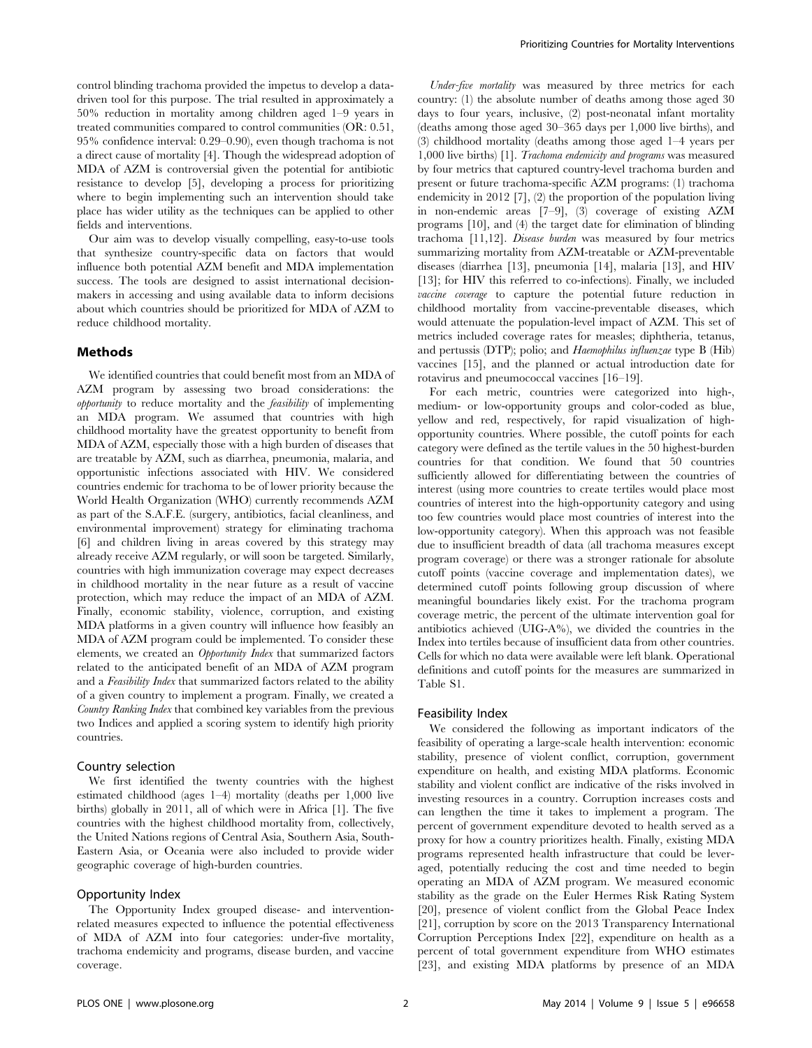control blinding trachoma provided the impetus to develop a datadriven tool for this purpose. The trial resulted in approximately a 50% reduction in mortality among children aged 1–9 years in treated communities compared to control communities (OR: 0.51, 95% confidence interval: 0.29–0.90), even though trachoma is not a direct cause of mortality [4]. Though the widespread adoption of MDA of AZM is controversial given the potential for antibiotic resistance to develop [5], developing a process for prioritizing where to begin implementing such an intervention should take place has wider utility as the techniques can be applied to other fields and interventions.

Our aim was to develop visually compelling, easy-to-use tools that synthesize country-specific data on factors that would influence both potential AZM benefit and MDA implementation success. The tools are designed to assist international decisionmakers in accessing and using available data to inform decisions about which countries should be prioritized for MDA of AZM to reduce childhood mortality.

## Methods

We identified countries that could benefit most from an MDA of AZM program by assessing two broad considerations: the opportunity to reduce mortality and the feasibility of implementing an MDA program. We assumed that countries with high childhood mortality have the greatest opportunity to benefit from MDA of AZM, especially those with a high burden of diseases that are treatable by AZM, such as diarrhea, pneumonia, malaria, and opportunistic infections associated with HIV. We considered countries endemic for trachoma to be of lower priority because the World Health Organization (WHO) currently recommends AZM as part of the S.A.F.E. (surgery, antibiotics, facial cleanliness, and environmental improvement) strategy for eliminating trachoma [6] and children living in areas covered by this strategy may already receive AZM regularly, or will soon be targeted. Similarly, countries with high immunization coverage may expect decreases in childhood mortality in the near future as a result of vaccine protection, which may reduce the impact of an MDA of AZM. Finally, economic stability, violence, corruption, and existing MDA platforms in a given country will influence how feasibly an MDA of AZM program could be implemented. To consider these elements, we created an Opportunity Index that summarized factors related to the anticipated benefit of an MDA of AZM program and a Feasibility Index that summarized factors related to the ability of a given country to implement a program. Finally, we created a Country Ranking Index that combined key variables from the previous two Indices and applied a scoring system to identify high priority countries.

#### Country selection

We first identified the twenty countries with the highest estimated childhood (ages 1–4) mortality (deaths per 1,000 live births) globally in 2011, all of which were in Africa [1]. The five countries with the highest childhood mortality from, collectively, the United Nations regions of Central Asia, Southern Asia, South-Eastern Asia, or Oceania were also included to provide wider geographic coverage of high-burden countries.

# Opportunity Index

The Opportunity Index grouped disease- and interventionrelated measures expected to influence the potential effectiveness of MDA of AZM into four categories: under-five mortality, trachoma endemicity and programs, disease burden, and vaccine coverage.

Under-five mortality was measured by three metrics for each country: (1) the absolute number of deaths among those aged 30 days to four years, inclusive, (2) post-neonatal infant mortality (deaths among those aged 30–365 days per 1,000 live births), and (3) childhood mortality (deaths among those aged 1–4 years per 1,000 live births) [1]. Trachoma endemicity and programs was measured by four metrics that captured country-level trachoma burden and present or future trachoma-specific AZM programs: (1) trachoma endemicity in 2012 [7], (2) the proportion of the population living in non-endemic areas [7–9], (3) coverage of existing AZM programs [10], and (4) the target date for elimination of blinding trachoma [11,12]. Disease burden was measured by four metrics summarizing mortality from AZM-treatable or AZM-preventable diseases (diarrhea [13], pneumonia [14], malaria [13], and HIV [13]; for HIV this referred to co-infections). Finally, we included vaccine coverage to capture the potential future reduction in childhood mortality from vaccine-preventable diseases, which would attenuate the population-level impact of AZM. This set of metrics included coverage rates for measles; diphtheria, tetanus, and pertussis (DTP); polio; and Haemophilus influenzae type B (Hib) vaccines [15], and the planned or actual introduction date for rotavirus and pneumococcal vaccines [16–19].

For each metric, countries were categorized into high-, medium- or low-opportunity groups and color-coded as blue, yellow and red, respectively, for rapid visualization of highopportunity countries. Where possible, the cutoff points for each category were defined as the tertile values in the 50 highest-burden countries for that condition. We found that 50 countries sufficiently allowed for differentiating between the countries of interest (using more countries to create tertiles would place most countries of interest into the high-opportunity category and using too few countries would place most countries of interest into the low-opportunity category). When this approach was not feasible due to insufficient breadth of data (all trachoma measures except program coverage) or there was a stronger rationale for absolute cutoff points (vaccine coverage and implementation dates), we determined cutoff points following group discussion of where meaningful boundaries likely exist. For the trachoma program coverage metric, the percent of the ultimate intervention goal for antibiotics achieved (UIG-A%), we divided the countries in the Index into tertiles because of insufficient data from other countries. Cells for which no data were available were left blank. Operational definitions and cutoff points for the measures are summarized in Table S1.

#### Feasibility Index

We considered the following as important indicators of the feasibility of operating a large-scale health intervention: economic stability, presence of violent conflict, corruption, government expenditure on health, and existing MDA platforms. Economic stability and violent conflict are indicative of the risks involved in investing resources in a country. Corruption increases costs and can lengthen the time it takes to implement a program. The percent of government expenditure devoted to health served as a proxy for how a country prioritizes health. Finally, existing MDA programs represented health infrastructure that could be leveraged, potentially reducing the cost and time needed to begin operating an MDA of AZM program. We measured economic stability as the grade on the Euler Hermes Risk Rating System [20], presence of violent conflict from the Global Peace Index [21], corruption by score on the 2013 Transparency International Corruption Perceptions Index [22], expenditure on health as a percent of total government expenditure from WHO estimates [23], and existing MDA platforms by presence of an MDA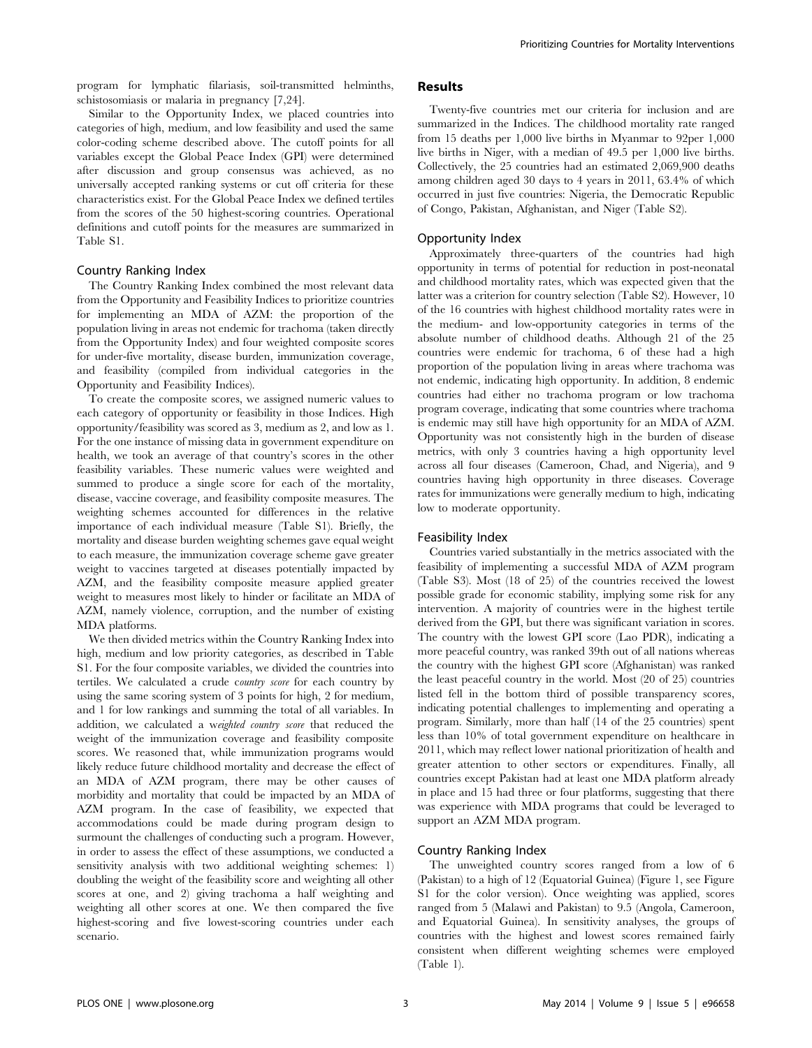program for lymphatic filariasis, soil-transmitted helminths, schistosomiasis or malaria in pregnancy [7,24].

Similar to the Opportunity Index, we placed countries into categories of high, medium, and low feasibility and used the same color-coding scheme described above. The cutoff points for all variables except the Global Peace Index (GPI) were determined after discussion and group consensus was achieved, as no universally accepted ranking systems or cut off criteria for these characteristics exist. For the Global Peace Index we defined tertiles from the scores of the 50 highest-scoring countries. Operational definitions and cutoff points for the measures are summarized in Table S1.

### Country Ranking Index

The Country Ranking Index combined the most relevant data from the Opportunity and Feasibility Indices to prioritize countries for implementing an MDA of AZM: the proportion of the population living in areas not endemic for trachoma (taken directly from the Opportunity Index) and four weighted composite scores for under-five mortality, disease burden, immunization coverage, and feasibility (compiled from individual categories in the Opportunity and Feasibility Indices).

To create the composite scores, we assigned numeric values to each category of opportunity or feasibility in those Indices. High opportunity/feasibility was scored as 3, medium as 2, and low as 1. For the one instance of missing data in government expenditure on health, we took an average of that country's scores in the other feasibility variables. These numeric values were weighted and summed to produce a single score for each of the mortality, disease, vaccine coverage, and feasibility composite measures. The weighting schemes accounted for differences in the relative importance of each individual measure (Table S1). Briefly, the mortality and disease burden weighting schemes gave equal weight to each measure, the immunization coverage scheme gave greater weight to vaccines targeted at diseases potentially impacted by AZM, and the feasibility composite measure applied greater weight to measures most likely to hinder or facilitate an MDA of AZM, namely violence, corruption, and the number of existing MDA platforms.

We then divided metrics within the Country Ranking Index into high, medium and low priority categories, as described in Table S1. For the four composite variables, we divided the countries into tertiles. We calculated a crude country score for each country by using the same scoring system of 3 points for high, 2 for medium, and 1 for low rankings and summing the total of all variables. In addition, we calculated a weighted country score that reduced the weight of the immunization coverage and feasibility composite scores. We reasoned that, while immunization programs would likely reduce future childhood mortality and decrease the effect of an MDA of AZM program, there may be other causes of morbidity and mortality that could be impacted by an MDA of AZM program. In the case of feasibility, we expected that accommodations could be made during program design to surmount the challenges of conducting such a program. However, in order to assess the effect of these assumptions, we conducted a sensitivity analysis with two additional weighting schemes: 1) doubling the weight of the feasibility score and weighting all other scores at one, and 2) giving trachoma a half weighting and weighting all other scores at one. We then compared the five highest-scoring and five lowest-scoring countries under each scenario.

# Results

Twenty-five countries met our criteria for inclusion and are summarized in the Indices. The childhood mortality rate ranged from 15 deaths per 1,000 live births in Myanmar to 92per 1,000 live births in Niger, with a median of 49.5 per 1,000 live births. Collectively, the 25 countries had an estimated 2,069,900 deaths among children aged 30 days to 4 years in 2011, 63.4% of which occurred in just five countries: Nigeria, the Democratic Republic of Congo, Pakistan, Afghanistan, and Niger (Table S2).

# Opportunity Index

Approximately three-quarters of the countries had high opportunity in terms of potential for reduction in post-neonatal and childhood mortality rates, which was expected given that the latter was a criterion for country selection (Table S2). However, 10 of the 16 countries with highest childhood mortality rates were in the medium- and low-opportunity categories in terms of the absolute number of childhood deaths. Although 21 of the 25 countries were endemic for trachoma, 6 of these had a high proportion of the population living in areas where trachoma was not endemic, indicating high opportunity. In addition, 8 endemic countries had either no trachoma program or low trachoma program coverage, indicating that some countries where trachoma is endemic may still have high opportunity for an MDA of AZM. Opportunity was not consistently high in the burden of disease metrics, with only 3 countries having a high opportunity level across all four diseases (Cameroon, Chad, and Nigeria), and 9 countries having high opportunity in three diseases. Coverage rates for immunizations were generally medium to high, indicating low to moderate opportunity.

#### Feasibility Index

Countries varied substantially in the metrics associated with the feasibility of implementing a successful MDA of AZM program (Table S3). Most (18 of 25) of the countries received the lowest possible grade for economic stability, implying some risk for any intervention. A majority of countries were in the highest tertile derived from the GPI, but there was significant variation in scores. The country with the lowest GPI score (Lao PDR), indicating a more peaceful country, was ranked 39th out of all nations whereas the country with the highest GPI score (Afghanistan) was ranked the least peaceful country in the world. Most (20 of 25) countries listed fell in the bottom third of possible transparency scores, indicating potential challenges to implementing and operating a program. Similarly, more than half (14 of the 25 countries) spent less than 10% of total government expenditure on healthcare in 2011, which may reflect lower national prioritization of health and greater attention to other sectors or expenditures. Finally, all countries except Pakistan had at least one MDA platform already in place and 15 had three or four platforms, suggesting that there was experience with MDA programs that could be leveraged to support an AZM MDA program.

# Country Ranking Index

The unweighted country scores ranged from a low of 6 (Pakistan) to a high of 12 (Equatorial Guinea) (Figure 1, see Figure S1 for the color version). Once weighting was applied, scores ranged from 5 (Malawi and Pakistan) to 9.5 (Angola, Cameroon, and Equatorial Guinea). In sensitivity analyses, the groups of countries with the highest and lowest scores remained fairly consistent when different weighting schemes were employed (Table 1).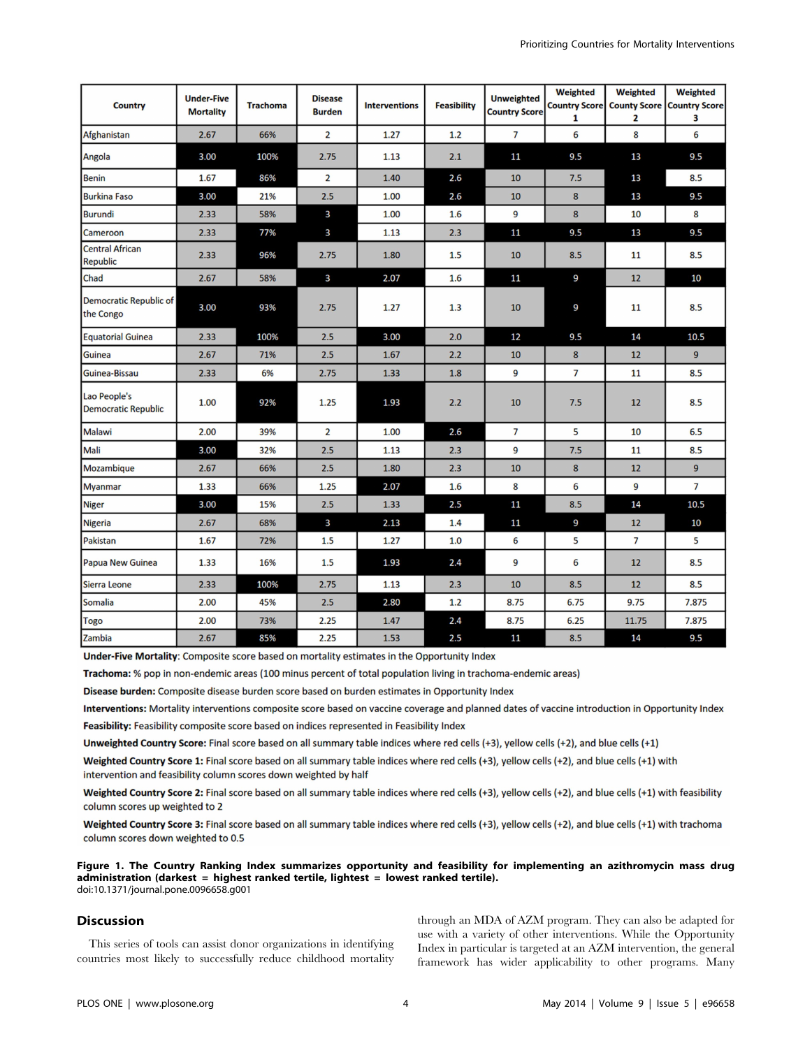| <b>Country</b>                             | <b>Under-Five</b><br><b>Mortality</b> | <b>Trachoma</b> | <b>Disease</b><br><b>Burden</b> | <b>Interventions</b> | <b>Feasibility</b> | <b>Unweighted</b><br><b>Country Score</b> | <b>Weighted</b><br>1 | <b>Weighted</b><br>2 | <b>Weighted</b><br>Country Score   County Score   Country Score  <br>3 |
|--------------------------------------------|---------------------------------------|-----------------|---------------------------------|----------------------|--------------------|-------------------------------------------|----------------------|----------------------|------------------------------------------------------------------------|
| Afghanistan                                | 2.67                                  | 66%             | $\overline{2}$                  | 1.27                 | 1.2                | $\overline{7}$                            | 6                    | 8                    | 6                                                                      |
| Angola                                     | 3.00                                  | 100%            | 2.75                            | 1.13                 | 2.1                | 11                                        | 9.5                  | 13                   | 9.5                                                                    |
| <b>Benin</b>                               | 1.67                                  | 86%             | $\overline{2}$                  | 1.40                 | 2.6                | 10                                        | 7.5                  | 13                   | 8.5                                                                    |
| <b>Burkina Faso</b>                        | 3.00                                  | 21%             | 2.5                             | 1.00                 | 2.6                | 10                                        | 8                    | 13                   | 9.5                                                                    |
| <b>Burundi</b>                             | 2.33                                  | 58%             | 3                               | 1.00                 | 1.6                | 9                                         | $\boldsymbol{8}$     | 10                   | 8                                                                      |
| Cameroon                                   | 2.33                                  | 77%             | 3                               | 1.13                 | 2.3                | 11                                        | 9.5                  | 13                   | 9.5                                                                    |
| <b>Central African</b><br><b>Republic</b>  | 2.33                                  | 96%             | 2.75                            | 1.80                 | 1.5                | 10                                        | 8.5                  | 11                   | 8.5                                                                    |
| Chad                                       | 2.67                                  | 58%             | 3                               | 2.07                 | 1.6                | 11                                        | 9                    | 12                   | 10                                                                     |
| Democratic Republic of<br>the Congo        | 3.00                                  | 93%             | 2.75                            | 1.27                 | 1.3                | 10                                        | 9                    | 11                   | 8.5                                                                    |
| <b>Equatorial Guinea</b>                   | 2.33                                  | 100%            | 2.5                             | 3.00                 | 2.0                | 12                                        | 9.5                  | 14                   | 10.5                                                                   |
| <b>Guinea</b>                              | 2.67                                  | 71%             | 2.5                             | 1.67                 | 2.2                | 10                                        | 8                    | 12                   | 9                                                                      |
| Guinea-Bissau                              | 2.33                                  | 6%              | 2.75                            | 1.33                 | 1.8                | 9                                         | $\overline{7}$       | 11                   | 8.5                                                                    |
| Lao People's<br><b>Democratic Republic</b> | 1.00                                  | 92%             | 1.25                            | 1.93                 | 2.2                | 10                                        | 7.5                  | 12                   | 8.5                                                                    |
| Malawi                                     | 2.00                                  | 39%             | $\overline{2}$                  | 1.00                 | 2.6                | 7                                         | 5                    | 10                   | 6.5                                                                    |
| Mali                                       | 3.00                                  | 32%             | 2.5                             | 1.13                 | 2.3                | 9                                         | 7.5                  | 11                   | 8.5                                                                    |
| Mozambique                                 | 2.67                                  | 66%             | 2.5                             | 1.80                 | 2.3                | 10                                        | 8                    | 12                   | 9                                                                      |
| <b>Myanmar</b>                             | 1.33                                  | 66%             | 1.25                            | 2.07                 | 1.6                | 8                                         | 6                    | 9                    | $\overline{7}$                                                         |
| <b>Niger</b>                               | 3.00                                  | 15%             | 2.5                             | 1.33                 | 2.5                | 11                                        | 8.5                  | 14                   | 10.5                                                                   |
| <b>Nigeria</b>                             | 2.67                                  | 68%             | 3                               | 2.13                 | 1.4                | 11                                        | 9                    | 12                   | 10                                                                     |
| Pakistan                                   | 1.67                                  | 72%             | 1.5                             | 1.27                 | 1.0                | 6                                         | 5                    | $\overline{7}$       | 5                                                                      |
| Papua New Guinea                           | 1.33                                  | 16%             | 1.5                             | 1.93                 | 2.4                | 9                                         | 6                    | 12                   | 8.5                                                                    |
| <b>Sierra Leone</b>                        | 2.33                                  | 100%            | 2.75                            | 1.13                 | 2.3                | 10                                        | 8.5                  | 12                   | 8.5                                                                    |
| <b>Somalia</b>                             | 2.00                                  | 45%             | 2.5                             | 2.80                 | 1.2                | 8.75                                      | 6.75                 | 9.75                 | 7.875                                                                  |
| Togo                                       | 2.00                                  | 73%             | 2.25                            | 1.47                 | 2.4                | 8.75                                      | 6.25                 | 11.75                | 7.875                                                                  |
| Zambia                                     | 2.67                                  | 85%             | 2.25                            | 1.53                 | 2.5                | 11                                        | 8.5                  | 14                   | 9.5                                                                    |

Under-Five Mortality: Composite score based on mortality estimates in the Opportunity Index

Trachoma: % pop in non-endemic areas (100 minus percent of total population living in trachoma-endemic areas)

Disease burden: Composite disease burden score based on burden estimates in Opportunity Index

Interventions: Mortality interventions composite score based on vaccine coverage and planned dates of vaccine introduction in Opportunity Index

Feasibility: Feasibility composite score based on indices represented in Feasibility Index

Unweighted Country Score: Final score based on all summary table indices where red cells (+3), yellow cells (+2), and blue cells (+1)

Weighted Country Score 1: Final score based on all summary table indices where red cells (+3), yellow cells (+2), and blue cells (+1) with intervention and feasibility column scores down weighted by half

Weighted Country Score 2: Final score based on all summary table indices where red cells (+3), yellow cells (+2), and blue cells (+1) with feasibility column scores up weighted to 2

Weighted Country Score 3: Final score based on all summary table indices where red cells (+3), yellow cells (+2), and blue cells (+1) with trachoma column scores down weighted to 0.5

Figure 1. The Country Ranking Index summarizes opportunity and feasibility for implementing an azithromycin mass drug administration (darkest = highest ranked tertile, lightest = lowest ranked tertile). doi:10.1371/journal.pone.0096658.g001

# **Discussion**

This series of tools can assist donor organizations in identifying countries most likely to successfully reduce childhood mortality through an MDA of AZM program. They can also be adapted for use with a variety of other interventions. While the Opportunity Index in particular is targeted at an AZM intervention, the general framework has wider applicability to other programs. Many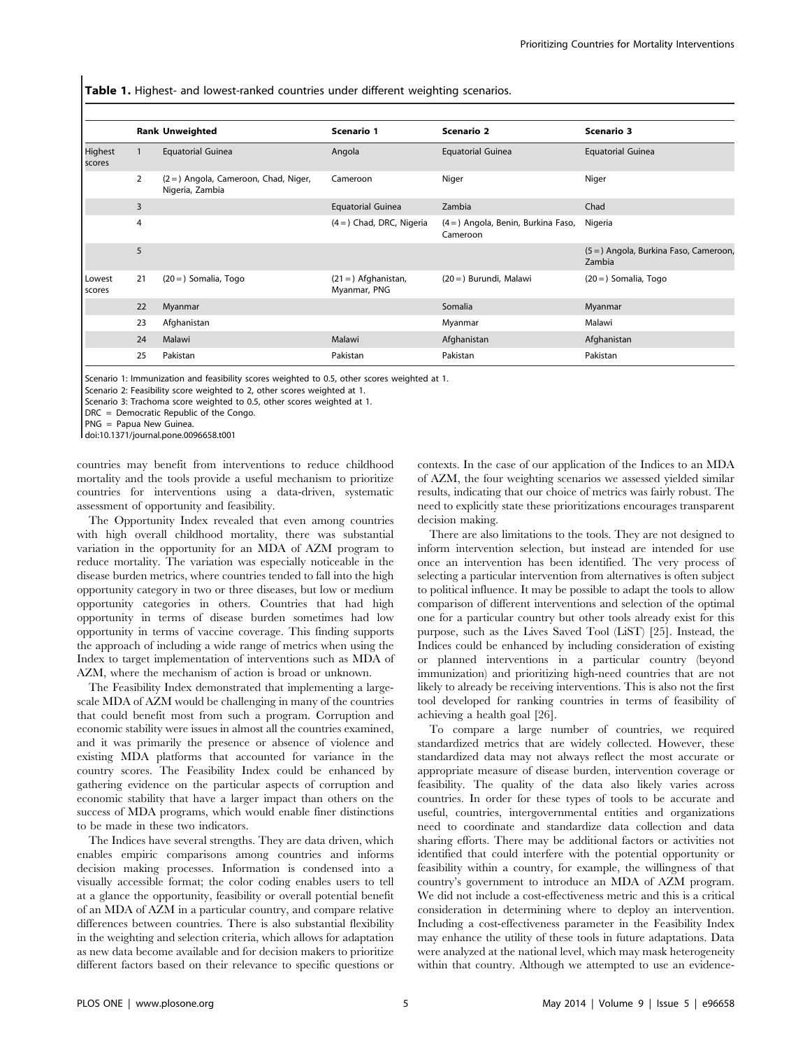Table 1. Highest- and lowest-ranked countries under different weighting scenarios.

|                   |                | <b>Rank Unweighted</b>                                   | Scenario 1                            | <b>Scenario 2</b>                               | Scenario 3                                       |
|-------------------|----------------|----------------------------------------------------------|---------------------------------------|-------------------------------------------------|--------------------------------------------------|
| Highest<br>scores |                | <b>Equatorial Guinea</b>                                 | Angola                                | <b>Equatorial Guinea</b>                        | <b>Equatorial Guinea</b>                         |
|                   | $\overline{2}$ | (2 = ) Angola, Cameroon, Chad, Niger,<br>Nigeria, Zambia | Cameroon                              | Niger                                           | Niger                                            |
| 3                 |                |                                                          | <b>Equatorial Guinea</b>              | Zambia                                          | Chad                                             |
| $\overline{4}$    |                |                                                          | $(4=)$ Chad, DRC, Nigeria             | (4 = ) Angola, Benin, Burkina Faso,<br>Cameroon | Nigeria                                          |
| 5                 |                |                                                          |                                       |                                                 | (5 = ) Angola, Burkina Faso, Cameroon,<br>Zambia |
| Lowest<br>scores  | 21             | $(20 =)$ Somalia, Togo                                   | $(21 =)$ Afghanistan,<br>Myanmar, PNG | (20 = ) Burundi, Malawi                         | $(20 =)$ Somalia, Togo                           |
|                   | 22             | Myanmar                                                  |                                       | Somalia                                         | Myanmar                                          |
|                   | 23             | Afghanistan                                              |                                       | Myanmar                                         | Malawi                                           |
|                   | 24             | Malawi                                                   | Malawi                                | Afghanistan                                     | Afghanistan                                      |
|                   | 25             | Pakistan                                                 | Pakistan                              | Pakistan                                        | Pakistan                                         |
|                   |                |                                                          |                                       |                                                 |                                                  |

Scenario 1: Immunization and feasibility scores weighted to 0.5, other scores weighted at 1.

Scenario 2: Feasibility score weighted to 2, other scores weighted at 1.

Scenario 3: Trachoma score weighted to 0.5, other scores weighted at 1.

DRC = Democratic Republic of the Congo.

PNG = Papua New Guinea.

doi:10.1371/journal.pone.0096658.t001

countries may benefit from interventions to reduce childhood mortality and the tools provide a useful mechanism to prioritize countries for interventions using a data-driven, systematic assessment of opportunity and feasibility.

The Opportunity Index revealed that even among countries with high overall childhood mortality, there was substantial variation in the opportunity for an MDA of AZM program to reduce mortality. The variation was especially noticeable in the disease burden metrics, where countries tended to fall into the high opportunity category in two or three diseases, but low or medium opportunity categories in others. Countries that had high opportunity in terms of disease burden sometimes had low opportunity in terms of vaccine coverage. This finding supports the approach of including a wide range of metrics when using the Index to target implementation of interventions such as MDA of AZM, where the mechanism of action is broad or unknown.

The Feasibility Index demonstrated that implementing a largescale MDA of AZM would be challenging in many of the countries that could benefit most from such a program. Corruption and economic stability were issues in almost all the countries examined, and it was primarily the presence or absence of violence and existing MDA platforms that accounted for variance in the country scores. The Feasibility Index could be enhanced by gathering evidence on the particular aspects of corruption and economic stability that have a larger impact than others on the success of MDA programs, which would enable finer distinctions to be made in these two indicators.

The Indices have several strengths. They are data driven, which enables empiric comparisons among countries and informs decision making processes. Information is condensed into a visually accessible format; the color coding enables users to tell at a glance the opportunity, feasibility or overall potential benefit of an MDA of AZM in a particular country, and compare relative differences between countries. There is also substantial flexibility in the weighting and selection criteria, which allows for adaptation as new data become available and for decision makers to prioritize different factors based on their relevance to specific questions or

contexts. In the case of our application of the Indices to an MDA of AZM, the four weighting scenarios we assessed yielded similar results, indicating that our choice of metrics was fairly robust. The need to explicitly state these prioritizations encourages transparent decision making.

There are also limitations to the tools. They are not designed to inform intervention selection, but instead are intended for use once an intervention has been identified. The very process of selecting a particular intervention from alternatives is often subject to political influence. It may be possible to adapt the tools to allow comparison of different interventions and selection of the optimal one for a particular country but other tools already exist for this purpose, such as the Lives Saved Tool (LiST) [25]. Instead, the Indices could be enhanced by including consideration of existing or planned interventions in a particular country (beyond immunization) and prioritizing high-need countries that are not likely to already be receiving interventions. This is also not the first tool developed for ranking countries in terms of feasibility of achieving a health goal [26].

To compare a large number of countries, we required standardized metrics that are widely collected. However, these standardized data may not always reflect the most accurate or appropriate measure of disease burden, intervention coverage or feasibility. The quality of the data also likely varies across countries. In order for these types of tools to be accurate and useful, countries, intergovernmental entities and organizations need to coordinate and standardize data collection and data sharing efforts. There may be additional factors or activities not identified that could interfere with the potential opportunity or feasibility within a country, for example, the willingness of that country's government to introduce an MDA of AZM program. We did not include a cost-effectiveness metric and this is a critical consideration in determining where to deploy an intervention. Including a cost-effectiveness parameter in the Feasibility Index may enhance the utility of these tools in future adaptations. Data were analyzed at the national level, which may mask heterogeneity within that country. Although we attempted to use an evidence